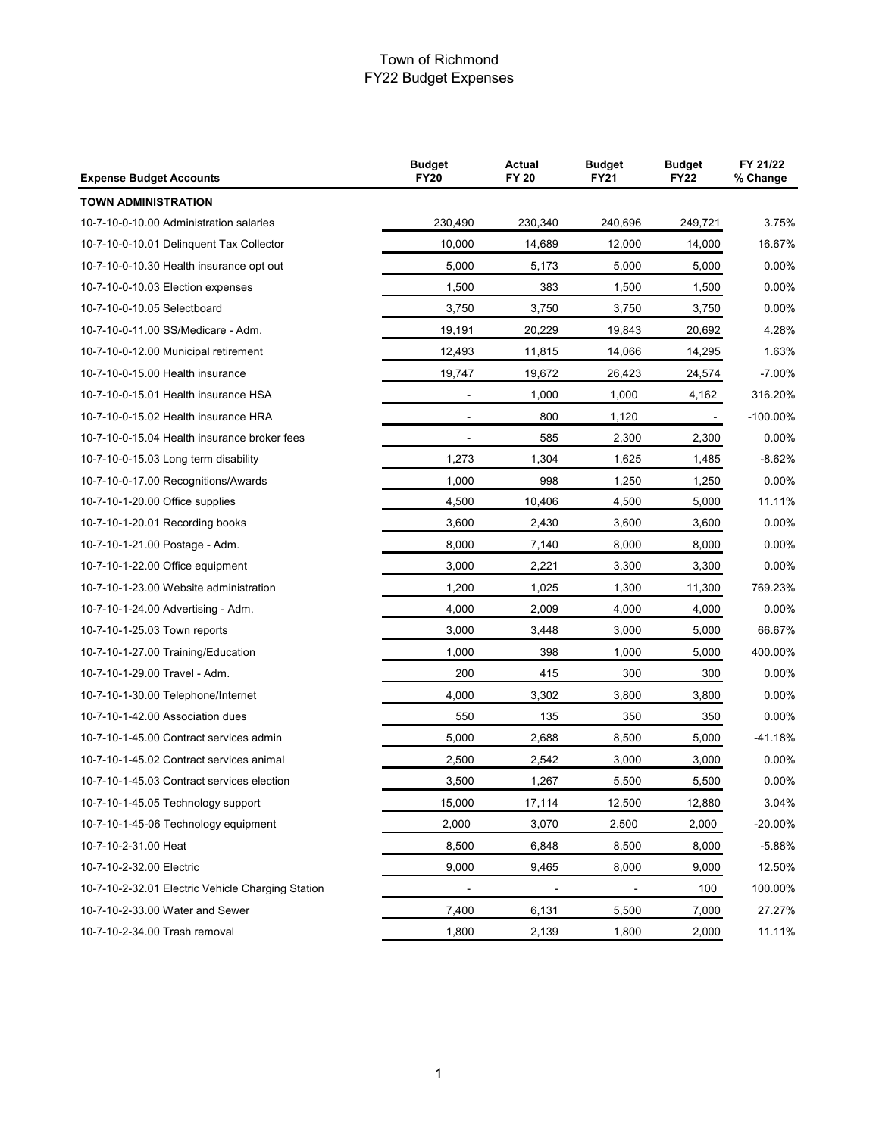| <b>Expense Budget Accounts</b>                    | <b>Budget</b><br>Actual<br><b>FY20</b><br><b>FY 20</b> |         | <b>Budget</b><br><b>FY21</b> | <b>Budget</b><br><b>FY22</b> | FY 21/22<br>% Change |  |
|---------------------------------------------------|--------------------------------------------------------|---------|------------------------------|------------------------------|----------------------|--|
| <b>TOWN ADMINISTRATION</b>                        |                                                        |         |                              |                              |                      |  |
| 10-7-10-0-10.00 Administration salaries           | 230,490                                                | 230,340 | 240,696                      | 249,721                      | 3.75%                |  |
| 10-7-10-0-10.01 Delinquent Tax Collector          | 10,000                                                 | 14,689  | 12,000                       | 14,000                       | 16.67%               |  |
| 10-7-10-0-10.30 Health insurance opt out          | 5,000                                                  | 5,173   | 5,000                        | 5,000                        | $0.00\%$             |  |
| 10-7-10-0-10.03 Election expenses                 | 1,500                                                  | 383     | 1,500                        | 1,500                        | $0.00\%$             |  |
| 10-7-10-0-10.05 Selectboard                       | 3,750                                                  | 3,750   | 3,750                        | 3,750                        | $0.00\%$             |  |
| 10-7-10-0-11.00 SS/Medicare - Adm.                | 19,191                                                 | 20,229  | 19,843                       | 20,692                       | 4.28%                |  |
| 10-7-10-0-12.00 Municipal retirement              | 12,493                                                 | 11,815  | 14,066                       | 14,295                       | 1.63%                |  |
| 10-7-10-0-15.00 Health insurance                  | 19,747                                                 | 19,672  | 26,423                       | 24,574                       | $-7.00%$             |  |
| 10-7-10-0-15.01 Health insurance HSA              |                                                        | 1,000   | 1,000                        | 4,162                        | 316.20%              |  |
| 10-7-10-0-15.02 Health insurance HRA              |                                                        | 800     | 1,120                        |                              | $-100.00\%$          |  |
| 10-7-10-0-15.04 Health insurance broker fees      |                                                        | 585     | 2,300                        | 2,300                        | $0.00\%$             |  |
| 10-7-10-0-15.03 Long term disability              | 1,273                                                  | 1,304   | 1,625                        | 1,485                        | $-8.62%$             |  |
| 10-7-10-0-17.00 Recognitions/Awards               | 1,000                                                  | 998     | 1,250                        | 1,250                        | 0.00%                |  |
| 10-7-10-1-20.00 Office supplies                   | 4,500                                                  | 10,406  | 4,500                        | 5,000                        | 11.11%               |  |
| 10-7-10-1-20.01 Recording books                   | 3,600                                                  | 2,430   | 3,600                        | 3,600                        | 0.00%                |  |
| 10-7-10-1-21.00 Postage - Adm.                    | 8,000                                                  | 7,140   | 8,000                        | 8,000                        | $0.00\%$             |  |
| 10-7-10-1-22.00 Office equipment                  | 3,000                                                  | 2,221   | 3,300                        | 3,300                        | 0.00%                |  |
| 10-7-10-1-23.00 Website administration            | 1,200                                                  | 1,025   | 1,300                        | 11,300                       | 769.23%              |  |
| 10-7-10-1-24.00 Advertising - Adm.                | 4,000                                                  | 2,009   | 4,000                        | 4,000                        | $0.00\%$             |  |
| 10-7-10-1-25.03 Town reports                      | 3,000                                                  | 3,448   | 3,000                        | 5,000                        | 66.67%               |  |
| 10-7-10-1-27.00 Training/Education                | 1,000                                                  | 398     | 1,000                        | 5,000                        | 400.00%              |  |
| 10-7-10-1-29.00 Travel - Adm.                     | 200                                                    | 415     | 300                          | 300                          | $0.00\%$             |  |
| 10-7-10-1-30.00 Telephone/Internet                | 4,000                                                  | 3,302   | 3,800                        | 3,800                        | $0.00\%$             |  |
| 10-7-10-1-42.00 Association dues                  | 550                                                    | 135     | 350                          | 350                          | 0.00%                |  |
| 10-7-10-1-45.00 Contract services admin           | 5,000                                                  | 2,688   | 8,500                        | 5,000                        | -41.18%              |  |
| 10-7-10-1-45.02 Contract services animal          | 2,500                                                  | 2,542   | 3,000                        | 3,000                        | 0.00%                |  |
| 10-7-10-1-45.03 Contract services election        | 3,500                                                  | 1,267   | 5,500                        | 5,500                        | $0.00\%$             |  |
| 10-7-10-1-45.05 Technology support                | 15,000                                                 | 17,114  | 12,500                       | 12,880                       | 3.04%                |  |
| 10-7-10-1-45-06 Technology equipment              | 2,000                                                  | 3,070   | 2,500                        | 2,000                        | $-20.00\%$           |  |
| 10-7-10-2-31.00 Heat                              | 8,500                                                  | 6,848   | 8,500                        | 8,000                        | $-5.88%$             |  |
| 10-7-10-2-32.00 Electric                          | 9,000                                                  | 9,465   | 8,000                        | 9,000                        | 12.50%               |  |
| 10-7-10-2-32.01 Electric Vehicle Charging Station |                                                        |         |                              | 100                          | 100.00%              |  |
| 10-7-10-2-33.00 Water and Sewer                   | 7,400                                                  | 6,131   | 5,500                        | 7,000                        | 27.27%               |  |
| 10-7-10-2-34.00 Trash removal                     | 1,800                                                  | 2,139   | 1,800                        | 2,000                        | 11.11%               |  |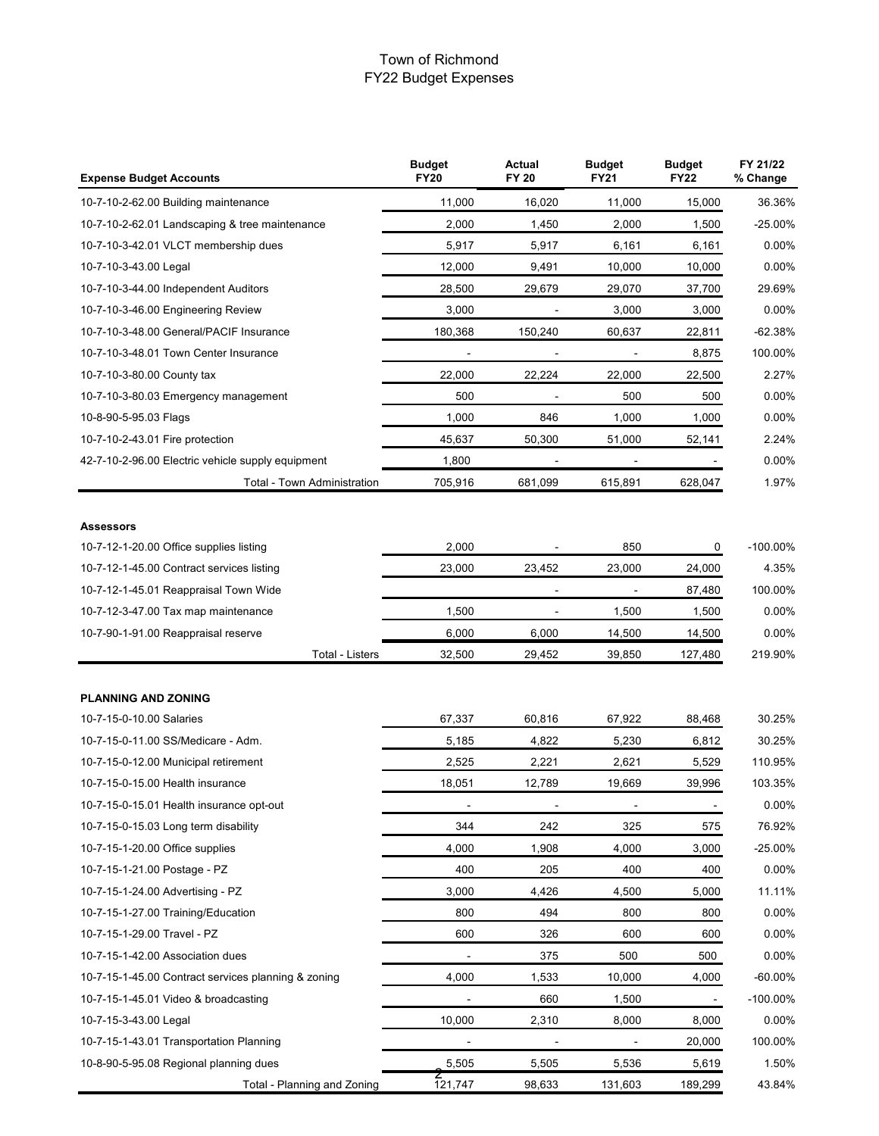| <b>Expense Budget Accounts</b>                      | <b>Budget</b><br><b>FY20</b> | Actual<br><b>FY 20</b> | <b>Budget</b><br><b>FY21</b> | <b>Budget</b><br><b>FY22</b> | FY 21/22<br>% Change |
|-----------------------------------------------------|------------------------------|------------------------|------------------------------|------------------------------|----------------------|
| 10-7-10-2-62.00 Building maintenance                | 11,000                       | 16,020                 | 11,000                       | 15,000                       | 36.36%               |
| 10-7-10-2-62.01 Landscaping & tree maintenance      | 2,000                        | 1,450                  | 2,000                        | 1,500                        | $-25.00%$            |
| 10-7-10-3-42.01 VLCT membership dues                | 5,917                        | 5,917                  | 6,161                        | 6,161                        | $0.00\%$             |
| 10-7-10-3-43.00 Legal                               | 12,000                       | 9,491                  | 10,000                       | 10,000                       | $0.00\%$             |
| 10-7-10-3-44.00 Independent Auditors                | 28,500                       | 29,679                 | 29,070                       | 37,700                       | 29.69%               |
| 10-7-10-3-46.00 Engineering Review                  | 3,000                        |                        | 3,000                        | 3,000                        | $0.00\%$             |
| 10-7-10-3-48.00 General/PACIF Insurance             | 180,368                      | 150,240                | 60,637                       | 22,811                       | $-62.38%$            |
| 10-7-10-3-48.01 Town Center Insurance               |                              |                        |                              | 8,875                        | 100.00%              |
| 10-7-10-3-80.00 County tax                          | 22,000                       | 22,224                 | 22,000                       | 22,500                       | 2.27%                |
| 10-7-10-3-80.03 Emergency management                | 500                          |                        | 500                          | 500                          | $0.00\%$             |
| 10-8-90-5-95.03 Flags                               | 1,000                        | 846                    | 1,000                        | 1,000                        | 0.00%                |
| 10-7-10-2-43.01 Fire protection                     | 45,637                       | 50,300                 | 51,000                       | 52,141                       | 2.24%                |
| 42-7-10-2-96.00 Electric vehicle supply equipment   | 1,800                        |                        |                              |                              | $0.00\%$             |
| <b>Total - Town Administration</b>                  | 705,916                      | 681,099                | 615,891                      | 628,047                      | 1.97%                |
| <b>Assessors</b>                                    |                              |                        |                              |                              |                      |
| 10-7-12-1-20.00 Office supplies listing             | 2,000                        |                        | 850                          | 0                            | $-100.00\%$          |
| 10-7-12-1-45.00 Contract services listing           | 23,000                       | 23,452                 | 23,000                       | 24,000                       | 4.35%                |
| 10-7-12-1-45.01 Reappraisal Town Wide               |                              |                        |                              | 87,480                       | 100.00%              |
| 10-7-12-3-47.00 Tax map maintenance                 | 1,500                        |                        | 1,500                        | 1,500                        | $0.00\%$             |
| 10-7-90-1-91.00 Reappraisal reserve                 | 6,000                        | 6,000                  | 14,500                       | 14,500                       | $0.00\%$             |
| <b>Total - Listers</b>                              | 32,500                       | 29,452                 | 39,850                       | 127,480                      | 219.90%              |
|                                                     |                              |                        |                              |                              |                      |
| <b>PLANNING AND ZONING</b>                          |                              |                        |                              |                              |                      |
| 10-7-15-0-10.00 Salaries                            | 67,337                       | 60,816                 | 67,922                       | 88,468                       | 30.25%               |
| 10-7-15-0-11.00 SS/Medicare - Adm.                  | 5,185                        | 4,822                  | 5,230                        | 6,812                        | 30.25%               |
| 10-7-15-0-12.00 Municipal retirement                | 2,525                        | 2,221                  | 2,621                        | 5,529                        | 110.95%              |
| 10-7-15-0-15.00 Health insurance                    | 18,051                       | 12,789                 | 19,669                       | 39,996                       | 103.35%              |
| 10-7-15-0-15.01 Health insurance opt-out            | $\blacksquare$               | $\blacksquare$         | $\blacksquare$               | $\blacksquare$               | 0.00%                |
| 10-7-15-0-15.03 Long term disability                | 344                          | 242                    | 325                          | 575                          | 76.92%               |
| 10-7-15-1-20.00 Office supplies                     | 4,000                        | 1,908                  | 4,000                        | 3,000                        | $-25.00%$            |
| 10-7-15-1-21.00 Postage - PZ                        | 400                          | 205                    | 400                          | 400                          | 0.00%                |
| 10-7-15-1-24.00 Advertising - PZ                    | 3,000                        | 4,426                  | 4,500                        | 5,000                        | 11.11%               |
| 10-7-15-1-27.00 Training/Education                  | 800                          | 494                    | 800                          | 800                          | 0.00%                |
| 10-7-15-1-29.00 Travel - PZ                         | 600                          | 326                    | 600                          | 600                          | 0.00%                |
| 10-7-15-1-42.00 Association dues                    |                              | 375                    | 500                          | 500                          | 0.00%                |
| 10-7-15-1-45.00 Contract services planning & zoning | 4,000                        | 1,533                  | 10,000                       | 4,000                        | $-60.00%$            |
| 10-7-15-1-45.01 Video & broadcasting                |                              | 660                    | 1,500                        |                              | $-100.00\%$          |
| 10-7-15-3-43.00 Legal                               | 10,000                       | 2,310                  | 8,000                        | 8,000                        | 0.00%                |
| 10-7-15-1-43.01 Transportation Planning             |                              |                        |                              | 20,000                       | 100.00%              |
| 10-8-90-5-95.08 Regional planning dues              | 5,505                        | 5,505                  | 5,536                        | 5,619                        | 1.50%                |
| Total - Planning and Zoning                         | 121,747                      | 98,633                 | 131,603                      | 189,299                      | 43.84%               |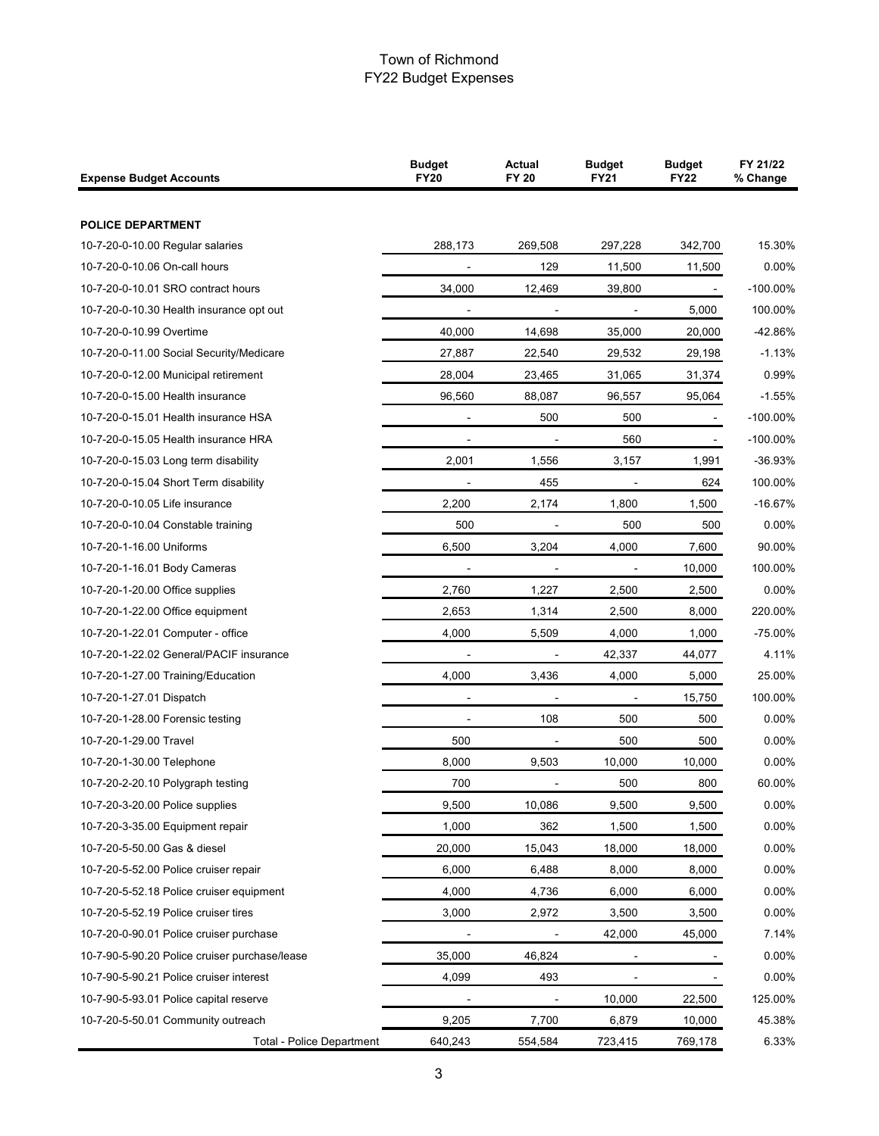| <b>Expense Budget Accounts</b>                | <b>Budget</b><br><b>FY20</b> | <b>Actual</b><br>FY 20 | <b>Budget</b><br><b>FY21</b> | <b>Budget</b><br><b>FY22</b> | FY 21/22<br>% Change |
|-----------------------------------------------|------------------------------|------------------------|------------------------------|------------------------------|----------------------|
|                                               |                              |                        |                              |                              |                      |
| <b>POLICE DEPARTMENT</b>                      |                              |                        |                              |                              |                      |
| 10-7-20-0-10.00 Regular salaries              | 288,173                      | 269,508                | 297,228                      | 342,700                      | 15.30%               |
| 10-7-20-0-10.06 On-call hours                 |                              | 129                    | 11,500                       | 11,500                       | 0.00%                |
| 10-7-20-0-10.01 SRO contract hours            | 34,000                       | 12,469                 | 39,800                       | $\sim$                       | $-100.00\%$          |
| 10-7-20-0-10.30 Health insurance opt out      |                              |                        |                              | 5,000                        | 100.00%              |
| 10-7-20-0-10.99 Overtime                      | 40,000                       | 14,698                 | 35,000                       | 20,000                       | -42.86%              |
| 10-7-20-0-11.00 Social Security/Medicare      | 27,887                       | 22,540                 | 29,532                       | 29,198                       | $-1.13%$             |
| 10-7-20-0-12.00 Municipal retirement          | 28,004                       | 23,465                 | 31,065                       | 31,374                       | 0.99%                |
| 10-7-20-0-15.00 Health insurance              | 96,560                       | 88,087                 | 96,557                       | 95,064                       | $-1.55%$             |
| 10-7-20-0-15.01 Health insurance HSA          | $\blacksquare$               | 500                    | 500                          |                              | $-100.00\%$          |
| 10-7-20-0-15.05 Health insurance HRA          |                              |                        | 560                          |                              | $-100.00\%$          |
| 10-7-20-0-15.03 Long term disability          | 2,001                        | 1,556                  | 3,157                        | 1,991                        | $-36.93%$            |
| 10-7-20-0-15.04 Short Term disability         |                              | 455                    |                              | 624                          | 100.00%              |
| 10-7-20-0-10.05 Life insurance                | 2,200                        | 2,174                  | 1,800                        | 1,500                        | $-16.67%$            |
| 10-7-20-0-10.04 Constable training            | 500                          |                        | 500                          | 500                          | 0.00%                |
| 10-7-20-1-16.00 Uniforms                      | 6,500                        | 3,204                  | 4,000                        | 7,600                        | 90.00%               |
| 10-7-20-1-16.01 Body Cameras                  |                              |                        |                              | 10,000                       | 100.00%              |
| 10-7-20-1-20.00 Office supplies               | 2,760                        | 1,227                  | 2,500                        | 2,500                        | 0.00%                |
| 10-7-20-1-22.00 Office equipment              | 2,653                        | 1,314                  | 2,500                        | 8,000                        | 220.00%              |
| 10-7-20-1-22.01 Computer - office             | 4,000                        | 5,509                  | 4,000                        | 1,000                        | -75.00%              |
| 10-7-20-1-22.02 General/PACIF insurance       |                              |                        | 42,337                       | 44,077                       | 4.11%                |
| 10-7-20-1-27.00 Training/Education            | 4,000                        | 3,436                  | 4,000                        | 5,000                        | 25.00%               |
| 10-7-20-1-27.01 Dispatch                      |                              |                        |                              | 15,750                       | 100.00%              |
| 10-7-20-1-28.00 Forensic testing              | $\blacksquare$               | 108                    | 500                          | 500                          | 0.00%                |
| 10-7-20-1-29.00 Travel                        | 500                          |                        | 500                          | 500                          | 0.00%                |
| 10-7-20-1-30.00 Telephone                     | 8,000                        | 9,503                  | 10,000                       | 10,000                       | 0.00%                |
| 10-7-20-2-20.10 Polygraph testing             | 700                          |                        | 500                          | 800                          | 60.00%               |
| 10-7-20-3-20.00 Police supplies               | 9,500                        | 10,086                 | 9,500                        | 9,500                        | 0.00%                |
| 10-7-20-3-35.00 Equipment repair              | 1,000                        | 362                    | 1,500                        | 1,500                        | 0.00%                |
| 10-7-20-5-50.00 Gas & diesel                  | 20,000                       | 15,043                 | 18,000                       | 18,000                       | 0.00%                |
| 10-7-20-5-52.00 Police cruiser repair         | 6,000                        | 6,488                  | 8,000                        | 8,000                        | 0.00%                |
| 10-7-20-5-52.18 Police cruiser equipment      | 4,000                        | 4,736                  | 6,000                        | 6,000                        | 0.00%                |
| 10-7-20-5-52.19 Police cruiser tires          | 3,000                        | 2,972                  | 3,500                        | 3,500                        | 0.00%                |
| 10-7-20-0-90.01 Police cruiser purchase       |                              |                        | 42,000                       | 45,000                       | 7.14%                |
| 10-7-90-5-90.20 Police cruiser purchase/lease | 35,000                       | 46,824                 |                              |                              | 0.00%                |
| 10-7-90-5-90.21 Police cruiser interest       | 4,099                        | 493                    | ÷,                           |                              | 0.00%                |
| 10-7-90-5-93.01 Police capital reserve        |                              |                        | 10,000                       | 22,500                       | 125.00%              |
| 10-7-20-5-50.01 Community outreach            | 9,205                        | 7,700                  | 6,879                        | 10,000                       | 45.38%               |
| <b>Total - Police Department</b>              | 640,243                      | 554,584                | 723,415                      | 769,178                      | 6.33%                |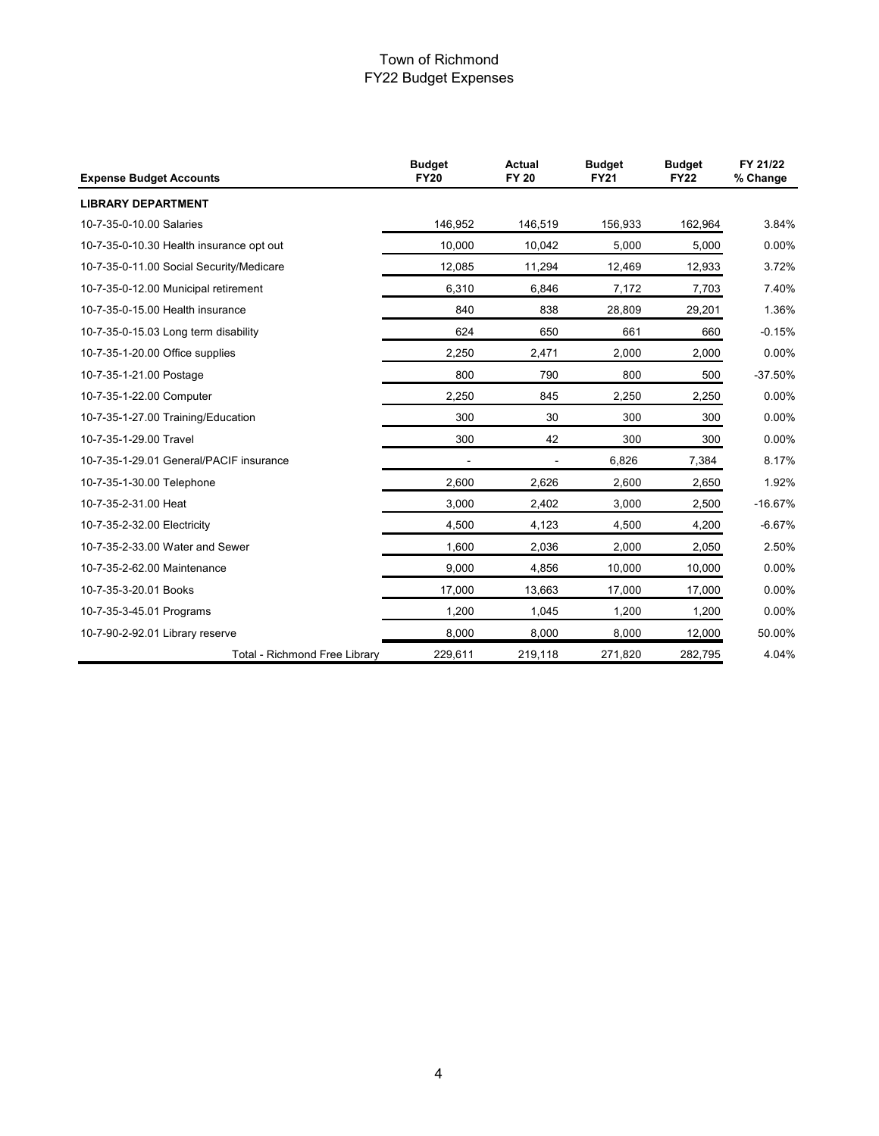| <b>Expense Budget Accounts</b>           | <b>Budget</b><br><b>Actual</b><br><b>FY20</b><br><b>FY 20</b> |         | <b>Budget</b><br><b>FY21</b> | <b>Budget</b><br><b>FY22</b> | FY 21/22<br>% Change |
|------------------------------------------|---------------------------------------------------------------|---------|------------------------------|------------------------------|----------------------|
| <b>LIBRARY DEPARTMENT</b>                |                                                               |         |                              |                              |                      |
| 10-7-35-0-10.00 Salaries                 | 146.952                                                       | 146,519 | 156,933                      | 162,964                      | 3.84%                |
| 10-7-35-0-10.30 Health insurance opt out | 10,000                                                        | 10,042  | 5,000                        | 5,000                        | 0.00%                |
| 10-7-35-0-11.00 Social Security/Medicare | 12,085                                                        | 11,294  | 12,469                       | 12,933                       | 3.72%                |
| 10-7-35-0-12.00 Municipal retirement     | 6,310                                                         | 6,846   | 7,172                        | 7,703                        | 7.40%                |
| 10-7-35-0-15.00 Health insurance         | 840                                                           | 838     | 28,809                       | 29,201                       | 1.36%                |
| 10-7-35-0-15.03 Long term disability     | 624                                                           | 650     | 661                          | 660                          | $-0.15%$             |
| 10-7-35-1-20.00 Office supplies          | 2,250                                                         | 2,471   | 2,000                        | 2,000                        | 0.00%                |
| 10-7-35-1-21.00 Postage                  | 800                                                           | 790     | 800                          | 500                          | $-37.50%$            |
| 10-7-35-1-22.00 Computer                 | 2,250                                                         | 845     | 2,250                        | 2,250                        | 0.00%                |
| 10-7-35-1-27.00 Training/Education       | 300                                                           | 30      | 300                          | 300                          | 0.00%                |
| 10-7-35-1-29.00 Travel                   | 300                                                           | 42      | 300                          | 300                          | 0.00%                |
| 10-7-35-1-29.01 General/PACIF insurance  |                                                               |         | 6,826                        | 7,384                        | 8.17%                |
| 10-7-35-1-30.00 Telephone                | 2,600                                                         | 2,626   | 2,600                        | 2,650                        | 1.92%                |
| 10-7-35-2-31.00 Heat                     | 3,000                                                         | 2,402   | 3,000                        | 2,500                        | $-16.67%$            |
| 10-7-35-2-32.00 Electricity              | 4,500                                                         | 4,123   | 4,500                        | 4,200                        | $-6.67%$             |
| 10-7-35-2-33.00 Water and Sewer          | 1,600                                                         | 2,036   | 2,000                        | 2,050                        | 2.50%                |
| 10-7-35-2-62.00 Maintenance              | 9,000                                                         | 4,856   | 10,000                       | 10,000                       | 0.00%                |
| 10-7-35-3-20.01 Books                    | 17,000                                                        | 13,663  | 17,000                       | 17,000                       | 0.00%                |
| 10-7-35-3-45.01 Programs                 | 1,200                                                         | 1,045   | 1,200                        | 1,200                        | 0.00%                |
| 10-7-90-2-92.01 Library reserve          | 8,000                                                         | 8,000   | 8,000                        | 12,000                       | 50.00%               |
| Total - Richmond Free Library            | 229,611                                                       | 219,118 | 271,820                      | 282,795                      | 4.04%                |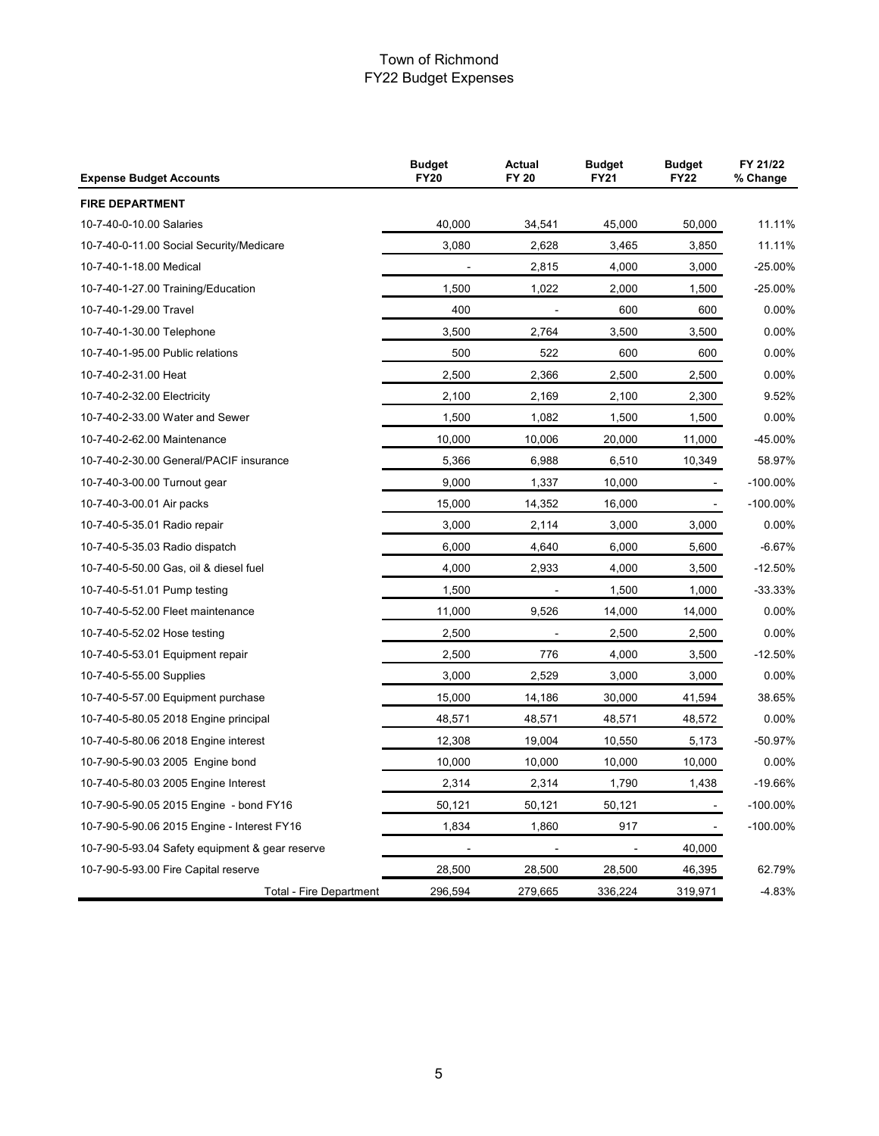| <b>Expense Budget Accounts</b>                  | <b>Budget</b><br><b>FY20</b> | <b>Actual</b><br><b>FY 20</b> |                | <b>Budget</b><br><b>FY22</b> | FY 21/22<br>% Change |
|-------------------------------------------------|------------------------------|-------------------------------|----------------|------------------------------|----------------------|
| <b>FIRE DEPARTMENT</b>                          |                              |                               |                |                              |                      |
| 10-7-40-0-10.00 Salaries                        | 40,000                       | 34,541                        | 45,000         | 50,000                       | 11.11%               |
| 10-7-40-0-11.00 Social Security/Medicare        | 3,080                        | 2,628                         | 3,465          | 3,850                        | 11.11%               |
| 10-7-40-1-18.00 Medical                         |                              | 2,815                         | 4,000          | 3,000                        | $-25.00%$            |
| 10-7-40-1-27.00 Training/Education              | 1,500                        | 1,022                         | 2,000          | 1,500                        | $-25.00%$            |
| 10-7-40-1-29.00 Travel                          | 400                          | $\blacksquare$                | 600            | 600                          | 0.00%                |
| 10-7-40-1-30.00 Telephone                       | 3,500                        | 2,764                         | 3,500          | 3,500                        | 0.00%                |
| 10-7-40-1-95.00 Public relations                | 500                          | 522                           | 600            | 600                          | 0.00%                |
| 10-7-40-2-31.00 Heat                            | 2,500                        | 2,366                         | 2,500          | 2,500                        | 0.00%                |
| 10-7-40-2-32.00 Electricity                     | 2,100                        | 2,169                         | 2,100          | 2,300                        | 9.52%                |
| 10-7-40-2-33.00 Water and Sewer                 | 1,500                        | 1,082                         | 1,500          | 1,500                        | 0.00%                |
| 10-7-40-2-62.00 Maintenance                     | 10,000                       | 10,006                        | 20,000         | 11,000                       | -45.00%              |
| 10-7-40-2-30.00 General/PACIF insurance         | 5,366                        | 6,988                         | 6,510          | 10,349                       | 58.97%               |
| 10-7-40-3-00.00 Turnout gear                    | 9,000                        | 1,337                         | 10,000         |                              | $-100.00\%$          |
| 10-7-40-3-00.01 Air packs                       | 15,000                       | 14,352                        | 16,000         |                              | $-100.00\%$          |
| 10-7-40-5-35.01 Radio repair                    | 3,000                        | 2,114                         | 3,000          | 3,000                        | 0.00%                |
| 10-7-40-5-35.03 Radio dispatch                  | 6,000                        | 4,640                         | 6,000          | 5,600                        | $-6.67%$             |
| 10-7-40-5-50.00 Gas, oil & diesel fuel          | 4,000                        | 2,933                         | 4,000          | 3,500                        | $-12.50%$            |
| 10-7-40-5-51.01 Pump testing                    | 1,500                        | $\overline{\phantom{a}}$      | 1,500          | 1,000                        | $-33.33%$            |
| 10-7-40-5-52.00 Fleet maintenance               | 11,000                       | 9,526                         | 14,000         | 14,000                       | 0.00%                |
| 10-7-40-5-52.02 Hose testing                    | 2,500                        |                               | 2,500          | 2,500                        | 0.00%                |
| 10-7-40-5-53.01 Equipment repair                | 2,500                        | 776                           | 4,000          | 3,500                        | $-12.50%$            |
| 10-7-40-5-55.00 Supplies                        | 3,000                        | 2,529                         | 3,000          | 3,000                        | 0.00%                |
| 10-7-40-5-57.00 Equipment purchase              | 15,000                       | 14,186                        | 30,000         | 41,594                       | 38.65%               |
| 10-7-40-5-80.05 2018 Engine principal           | 48,571                       | 48,571                        | 48,571         | 48,572                       | 0.00%                |
| 10-7-40-5-80.06 2018 Engine interest            | 12,308                       | 19,004                        | 10,550         | 5,173                        | -50.97%              |
| 10-7-90-5-90.03 2005 Engine bond                | 10,000                       | 10,000                        | 10,000         | 10,000                       | 0.00%                |
| 10-7-40-5-80.03 2005 Engine Interest            | 2,314                        | 2,314                         | 1,790          | 1,438                        | $-19.66%$            |
| 10-7-90-5-90.05 2015 Engine - bond FY16         | 50,121                       | 50,121                        | 50,121         |                              | $-100.00\%$          |
| 10-7-90-5-90.06 2015 Engine - Interest FY16     | 1,834                        | 1,860                         | 917            |                              | $-100.00\%$          |
| 10-7-90-5-93.04 Safety equipment & gear reserve | $\overline{\phantom{a}}$     | $\blacksquare$                | $\blacksquare$ | 40,000                       |                      |
| 10-7-90-5-93.00 Fire Capital reserve            | 28,500                       | 28,500                        | 28,500         | 46,395                       | 62.79%               |
| Total - Fire Department                         | 296,594                      | 279,665                       | 336,224        | 319,971                      | $-4.83%$             |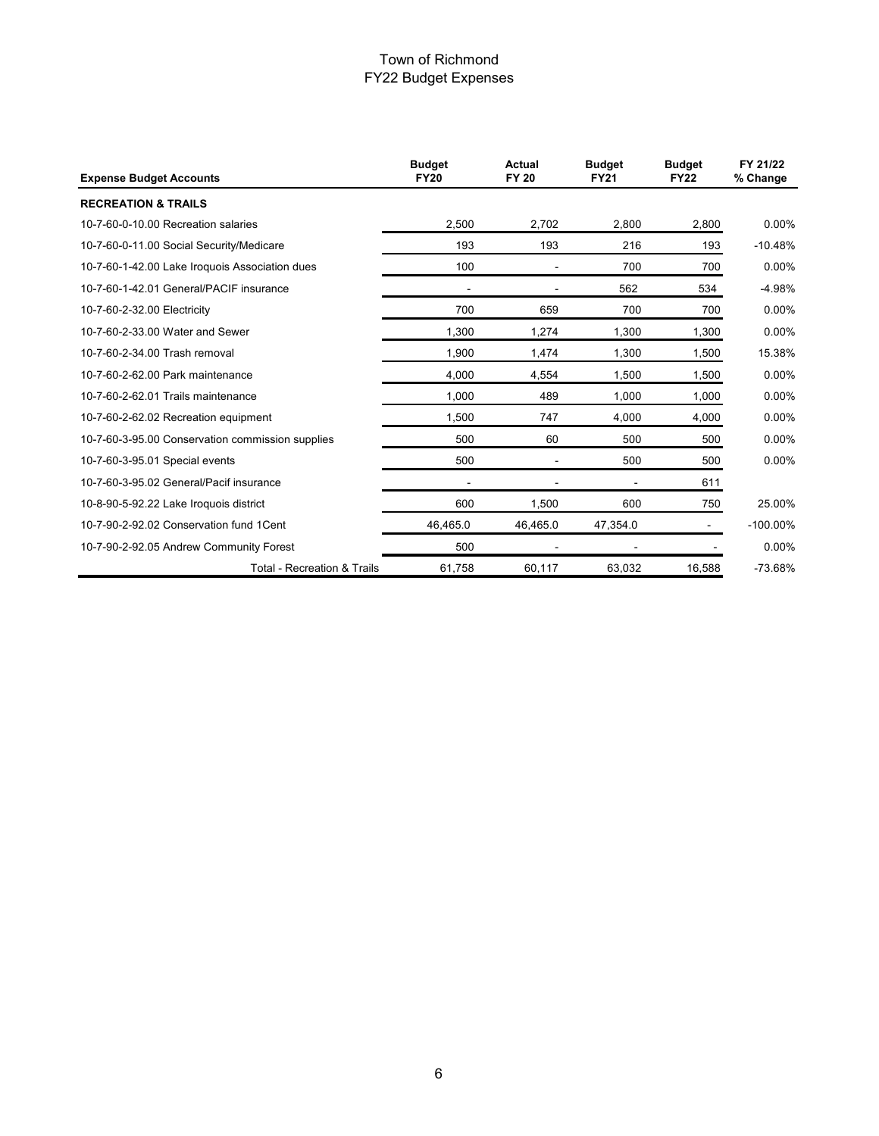| <b>Expense Budget Accounts</b>                   | <b>Budget</b><br><b>FY20</b> | Actual<br><b>FY 20</b> | <b>Budget</b><br><b>FY21</b> | <b>Budget</b><br><b>FY22</b> | FY 21/22<br>% Change |
|--------------------------------------------------|------------------------------|------------------------|------------------------------|------------------------------|----------------------|
| <b>RECREATION &amp; TRAILS</b>                   |                              |                        |                              |                              |                      |
| 10-7-60-0-10.00 Recreation salaries              | 2,500                        | 2,702                  | 2,800                        | 2,800                        | 0.00%                |
| 10-7-60-0-11.00 Social Security/Medicare         | 193                          | 193                    | 216                          | 193                          | $-10.48%$            |
| 10-7-60-1-42.00 Lake Iroquois Association dues   | 100                          |                        | 700                          | 700                          | 0.00%                |
| 10-7-60-1-42.01 General/PACIF insurance          |                              |                        | 562                          | 534                          | $-4.98%$             |
| 10-7-60-2-32.00 Electricity                      | 700                          | 659                    | 700                          | 700                          | 0.00%                |
| 10-7-60-2-33.00 Water and Sewer                  | 1,300                        | 1,274                  | 1,300                        | 1,300                        | $0.00\%$             |
| 10-7-60-2-34.00 Trash removal                    | 1,900                        | 1,474                  | 1,300                        | 1,500                        | 15.38%               |
| 10-7-60-2-62.00 Park maintenance                 | 4,000                        | 4,554                  | 1,500                        | 1,500                        | 0.00%                |
| 10-7-60-2-62.01 Trails maintenance               | 1.000                        | 489                    | 1.000                        | 1,000                        | $0.00\%$             |
| 10-7-60-2-62.02 Recreation equipment             | 1.500                        | 747                    | 4,000                        | 4,000                        | $0.00\%$             |
| 10-7-60-3-95.00 Conservation commission supplies | 500                          | 60                     | 500                          | 500                          | $0.00\%$             |
| 10-7-60-3-95.01 Special events                   | 500                          | $\blacksquare$         | 500                          | 500                          | $0.00\%$             |
| 10-7-60-3-95.02 General/Pacif insurance          |                              |                        |                              | 611                          |                      |
| 10-8-90-5-92.22 Lake Iroquois district           | 600                          | 1.500                  | 600                          | 750                          | 25.00%               |
| 10-7-90-2-92.02 Conservation fund 1 Cent         | 46.465.0                     | 46.465.0               | 47,354.0                     |                              | $-100.00\%$          |
| 10-7-90-2-92.05 Andrew Community Forest          | 500                          |                        |                              |                              | $0.00\%$             |
| <b>Total - Recreation &amp; Trails</b>           | 61,758                       | 60,117                 | 63,032                       | 16,588                       | $-73.68%$            |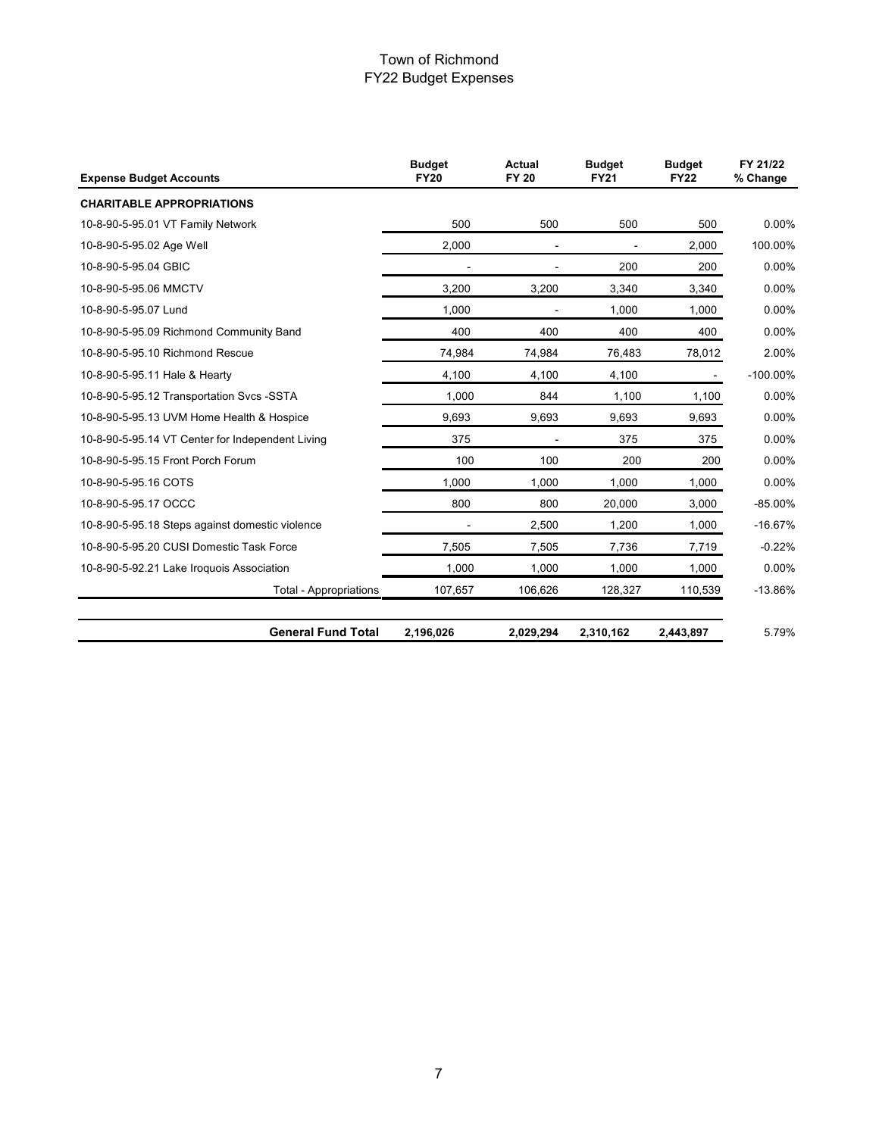| <b>Expense Budget Accounts</b>                   | <b>Budget</b><br><b>FY20</b> | <b>Actual</b><br><b>FY 20</b> | <b>Budget</b><br><b>FY21</b> | <b>Budget</b><br><b>FY22</b> | FY 21/22<br>% Change |
|--------------------------------------------------|------------------------------|-------------------------------|------------------------------|------------------------------|----------------------|
| <b>CHARITABLE APPROPRIATIONS</b>                 |                              |                               |                              |                              |                      |
| 10-8-90-5-95.01 VT Family Network                | 500                          | 500                           | 500                          | 500                          | 0.00%                |
| 10-8-90-5-95.02 Age Well                         | 2,000                        |                               |                              | 2,000                        | 100.00%              |
| 10-8-90-5-95.04 GBIC                             | $\overline{a}$               | $\overline{\phantom{0}}$      | 200                          | 200                          | 0.00%                |
| 10-8-90-5-95.06 MMCTV                            | 3,200                        | 3,200                         | 3,340                        | 3,340                        | 0.00%                |
| 10-8-90-5-95.07 Lund                             | 1,000                        |                               | 1,000                        | 1,000                        | 0.00%                |
| 10-8-90-5-95.09 Richmond Community Band          | 400                          | 400                           | 400                          | 400                          | 0.00%                |
| 10-8-90-5-95.10 Richmond Rescue                  | 74,984                       | 74,984                        | 76,483                       | 78,012                       | 2.00%                |
| 10-8-90-5-95.11 Hale & Hearty                    | 4,100                        | 4,100                         | 4,100                        | $\blacksquare$               | $-100.00\%$          |
| 10-8-90-5-95.12 Transportation Svcs -SSTA        | 1,000                        | 844                           | 1,100                        | 1,100                        | 0.00%                |
| 10-8-90-5-95.13 UVM Home Health & Hospice        | 9,693                        | 9.693                         | 9,693                        | 9,693                        | 0.00%                |
| 10-8-90-5-95.14 VT Center for Independent Living | 375                          |                               | 375                          | 375                          | 0.00%                |
| 10-8-90-5-95.15 Front Porch Forum                | 100                          | 100                           | 200                          | 200                          | 0.00%                |
| 10-8-90-5-95.16 COTS                             | 1,000                        | 1.000                         | 1,000                        | 1,000                        | 0.00%                |
| 10-8-90-5-95.17 OCCC                             | 800                          | 800                           | 20,000                       | 3,000                        | $-85.00\%$           |
| 10-8-90-5-95.18 Steps against domestic violence  |                              | 2,500                         | 1,200                        | 1,000                        | $-16.67%$            |
| 10-8-90-5-95.20 CUSI Domestic Task Force         | 7,505                        | 7,505                         | 7,736                        | 7,719                        | $-0.22%$             |
| 10-8-90-5-92.21 Lake Iroquois Association        | 1,000                        | 1,000                         | 1,000                        | 1,000                        | 0.00%                |
| <b>Total - Appropriations</b>                    | 107,657                      | 106,626                       | 128,327                      | 110,539                      | $-13.86%$            |
| <b>General Fund Total</b>                        | 2,196,026                    | 2,029,294                     | 2,310,162                    | 2,443,897                    | 5.79%                |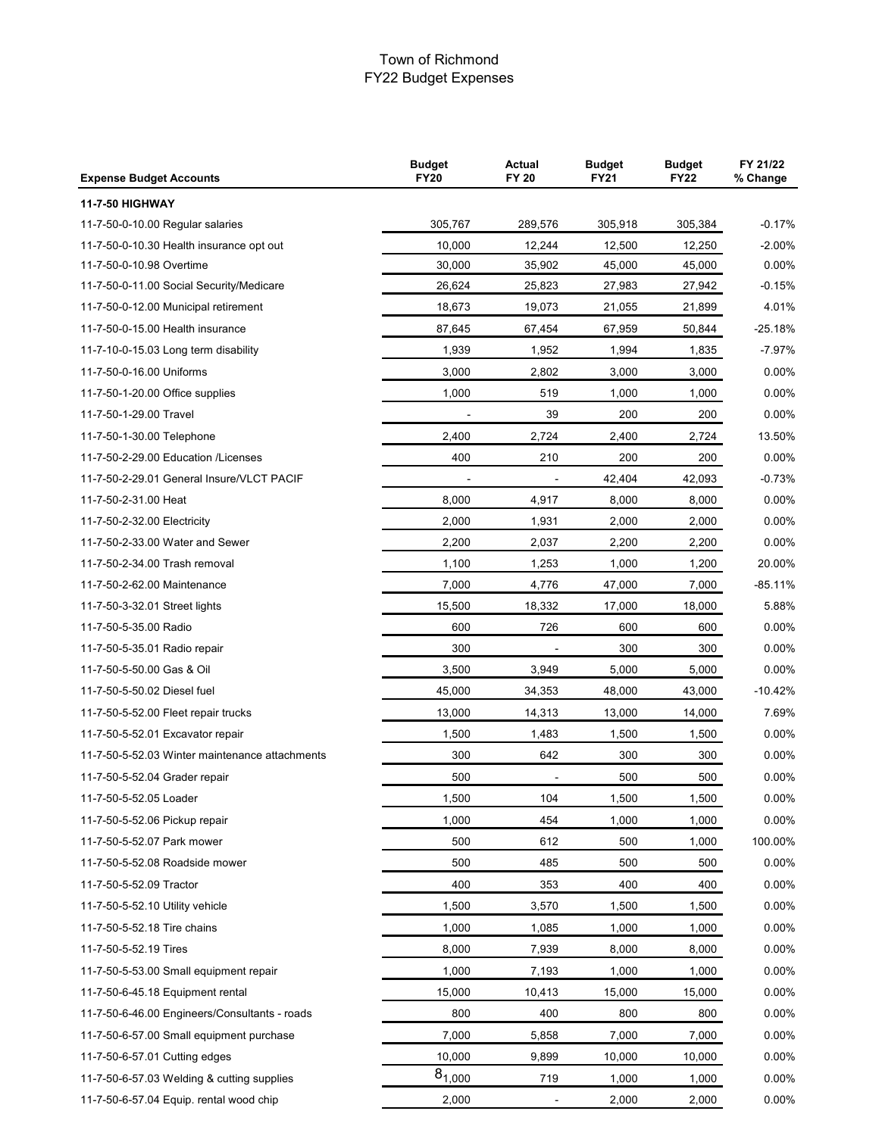| <b>Expense Budget Accounts</b>                 | <b>Budget</b><br><b>FY20</b> | <b>Actual</b><br><b>FY 20</b> | <b>Budget</b><br><b>FY21</b> | <b>Budget</b><br><b>FY22</b> | FY 21/22<br>% Change |
|------------------------------------------------|------------------------------|-------------------------------|------------------------------|------------------------------|----------------------|
| <b>11-7-50 HIGHWAY</b>                         |                              |                               |                              |                              |                      |
| 11-7-50-0-10.00 Regular salaries               | 305,767                      | 289,576                       | 305,918                      | 305,384                      | $-0.17%$             |
| 11-7-50-0-10.30 Health insurance opt out       | 10,000                       | 12,244                        | 12,500                       | 12,250                       | $-2.00%$             |
| 11-7-50-0-10.98 Overtime                       | 30,000                       | 35,902                        | 45,000                       | 45,000                       | 0.00%                |
| 11-7-50-0-11.00 Social Security/Medicare       | 26,624                       | 25,823                        | 27,983                       | 27,942                       | $-0.15%$             |
| 11-7-50-0-12.00 Municipal retirement           | 18,673                       | 19,073                        | 21,055                       | 21,899                       | 4.01%                |
| 11-7-50-0-15.00 Health insurance               | 87,645                       | 67,454                        | 67,959                       | 50,844                       | $-25.18%$            |
| 11-7-10-0-15.03 Long term disability           | 1,939                        | 1,952                         | 1,994                        | 1,835                        | $-7.97%$             |
| 11-7-50-0-16.00 Uniforms                       | 3,000                        | 2,802                         | 3,000                        | 3,000                        | 0.00%                |
| 11-7-50-1-20.00 Office supplies                | 1,000                        | 519                           | 1,000                        | 1,000                        | 0.00%                |
| 11-7-50-1-29.00 Travel                         |                              | 39                            | 200                          | 200                          | $0.00\%$             |
| 11-7-50-1-30.00 Telephone                      | 2,400                        | 2,724                         | 2,400                        | 2,724                        | 13.50%               |
| 11-7-50-2-29.00 Education /Licenses            | 400                          | 210                           | 200                          | 200                          | $0.00\%$             |
| 11-7-50-2-29.01 General Insure/VLCT PACIF      |                              |                               | 42,404                       | 42,093                       | $-0.73%$             |
| 11-7-50-2-31.00 Heat                           | 8,000                        | 4,917                         | 8,000                        | 8,000                        | 0.00%                |
| 11-7-50-2-32.00 Electricity                    | 2,000                        | 1,931                         | 2,000                        | 2,000                        | 0.00%                |
| 11-7-50-2-33.00 Water and Sewer                | 2,200                        | 2,037                         | 2,200                        | 2,200                        | $0.00\%$             |
| 11-7-50-2-34.00 Trash removal                  | 1,100                        | 1,253                         | 1,000                        | 1,200                        | 20.00%               |
| 11-7-50-2-62.00 Maintenance                    | 7,000                        | 4,776                         | 47,000                       | 7,000                        | $-85.11%$            |
| 11-7-50-3-32.01 Street lights                  | 15,500                       | 18,332                        | 17,000                       | 18,000                       | 5.88%                |
| 11-7-50-5-35.00 Radio                          | 600                          | 726                           | 600                          | 600                          | 0.00%                |
| 11-7-50-5-35.01 Radio repair                   | 300                          |                               | 300                          | 300                          | $0.00\%$             |
| 11-7-50-5-50.00 Gas & Oil                      | 3,500                        | 3,949                         | 5,000                        | 5,000                        | 0.00%                |
| 11-7-50-5-50.02 Diesel fuel                    | 45,000                       | 34,353                        | 48,000                       | 43,000                       | $-10.42%$            |
| 11-7-50-5-52.00 Fleet repair trucks            | 13,000                       | 14,313                        | 13,000                       | 14,000                       | 7.69%                |
| 11-7-50-5-52.01 Excavator repair               | 1,500                        | 1,483                         | 1,500                        | 1,500                        | 0.00%                |
| 11-7-50-5-52.03 Winter maintenance attachments | 300                          | 642                           | 300                          | 300                          | $0.00\%$             |
| 11-7-50-5-52.04 Grader repair                  | 500                          |                               | 500                          | 500                          | $0.00\%$             |
| 11-7-50-5-52.05 Loader                         | 1,500                        | 104                           | 1,500                        | 1.500                        | $0.00\%$             |
| 11-7-50-5-52.06 Pickup repair                  | 1,000                        | 454                           | 1,000                        | 1,000                        | 0.00%                |
| 11-7-50-5-52.07 Park mower                     | 500                          | 612                           | 500                          | 1,000                        | 100.00%              |
| 11-7-50-5-52.08 Roadside mower                 | 500                          | 485                           | 500                          | 500                          | $0.00\%$             |
| 11-7-50-5-52.09 Tractor                        | 400                          | 353                           | 400                          | 400                          | 0.00%                |
| 11-7-50-5-52.10 Utility vehicle                | 1,500                        | 3,570                         | 1,500                        | 1,500                        | 0.00%                |
| 11-7-50-5-52.18 Tire chains                    | 1,000                        | 1,085                         | 1,000                        | 1,000                        | 0.00%                |
| 11-7-50-5-52.19 Tires                          | 8,000                        | 7,939                         | 8,000                        | 8,000                        | 0.00%                |
| 11-7-50-5-53.00 Small equipment repair         | 1,000                        | 7,193                         | 1,000                        | 1,000                        | 0.00%                |
| 11-7-50-6-45.18 Equipment rental               | 15,000                       | 10,413                        | 15,000                       | 15,000                       | $0.00\%$             |
| 11-7-50-6-46.00 Engineers/Consultants - roads  | 800                          | 400                           | 800                          | 800                          | 0.00%                |
| 11-7-50-6-57.00 Small equipment purchase       | 7,000                        | 5,858                         | 7,000                        | 7,000                        | $0.00\%$             |
| 11-7-50-6-57.01 Cutting edges                  | 10,000                       | 9,899                         | 10,000                       | 10,000                       | 0.00%                |
| 11-7-50-6-57.03 Welding & cutting supplies     | $8_{1,000}$                  | 719                           | 1,000                        | 1,000                        | 0.00%                |
| 11-7-50-6-57.04 Equip. rental wood chip        | 2,000                        | $\blacksquare$                | 2,000                        | 2,000                        | 0.00%                |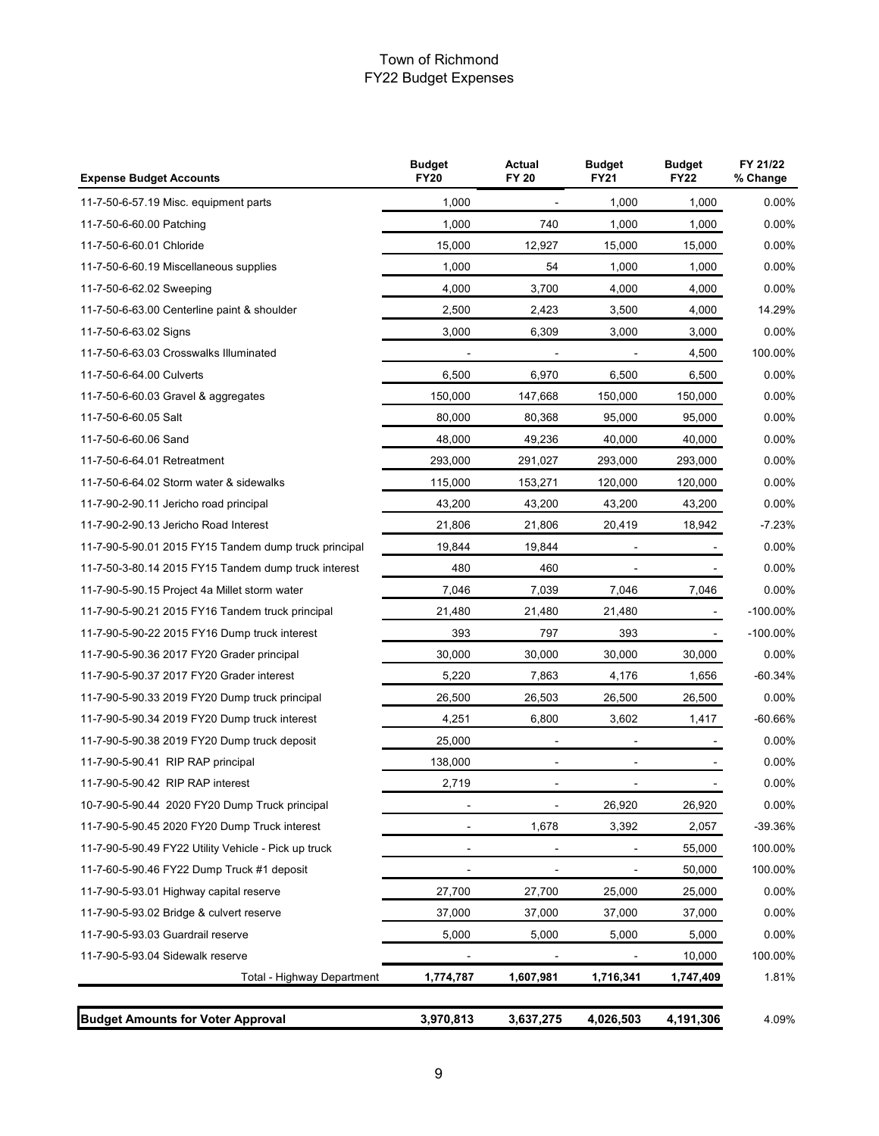| <b>Expense Budget Accounts</b>                        | <b>Actual</b><br><b>FY 20</b> | <b>Budget</b><br><b>FY21</b> | <b>Budget</b><br><b>FY22</b> | FY 21/22<br>% Change |             |
|-------------------------------------------------------|-------------------------------|------------------------------|------------------------------|----------------------|-------------|
| 11-7-50-6-57.19 Misc. equipment parts                 | 1,000                         |                              | 1.000                        | 1,000                | 0.00%       |
| 11-7-50-6-60.00 Patching                              | 1,000                         | 740                          | 1,000                        | 1,000                | $0.00\%$    |
| 11-7-50-6-60.01 Chloride                              | 15,000                        | 12,927                       | 15,000                       | 15,000               | 0.00%       |
| 11-7-50-6-60.19 Miscellaneous supplies                | 1,000                         | 54                           | 1,000                        | 1,000                | 0.00%       |
| 11-7-50-6-62.02 Sweeping                              | 4,000                         | 3,700                        | 4,000                        | 4,000                | 0.00%       |
| 11-7-50-6-63.00 Centerline paint & shoulder           | 2,500                         | 2,423                        | 3,500                        | 4,000                | 14.29%      |
| 11-7-50-6-63.02 Signs                                 | 3,000                         | 6,309                        | 3,000                        | 3,000                | 0.00%       |
| 11-7-50-6-63.03 Crosswalks Illuminated                |                               |                              |                              | 4,500                | 100.00%     |
| 11-7-50-6-64.00 Culverts                              | 6,500                         | 6,970                        | 6,500                        | 6,500                | 0.00%       |
| 11-7-50-6-60.03 Gravel & aggregates                   | 150,000                       | 147,668                      | 150,000                      | 150,000              | $0.00\%$    |
| 11-7-50-6-60.05 Salt                                  | 80,000                        | 80,368                       | 95,000                       | 95,000               | 0.00%       |
| 11-7-50-6-60.06 Sand                                  | 48,000                        | 49,236                       | 40,000                       | 40.000               | 0.00%       |
| 11-7-50-6-64.01 Retreatment                           | 293,000                       | 291,027                      | 293,000                      | 293,000              | 0.00%       |
| 11-7-50-6-64.02 Storm water & sidewalks               | 115,000                       | 153,271                      | 120,000                      | 120,000              | 0.00%       |
| 11-7-90-2-90.11 Jericho road principal                | 43,200                        | 43,200                       | 43,200                       | 43,200               | 0.00%       |
| 11-7-90-2-90.13 Jericho Road Interest                 | 21,806                        | 21,806                       | 20,419                       | 18,942               | $-7.23%$    |
| 11-7-90-5-90.01 2015 FY15 Tandem dump truck principal | 19,844                        | 19,844                       |                              |                      | 0.00%       |
| 11-7-50-3-80.14 2015 FY15 Tandem dump truck interest  | 480                           | 460                          |                              |                      | $0.00\%$    |
| 11-7-90-5-90.15 Project 4a Millet storm water         | 7,046                         | 7,039                        | 7,046                        | 7,046                | 0.00%       |
| 11-7-90-5-90.21 2015 FY16 Tandem truck principal      | 21,480                        | 21,480                       | 21,480                       |                      | $-100.00\%$ |
| 11-7-90-5-90-22 2015 FY16 Dump truck interest         | 393                           | 797                          | 393                          | $\blacksquare$       | $-100.00\%$ |
| 11-7-90-5-90.36 2017 FY20 Grader principal            | 30,000                        | 30,000                       | 30,000                       | 30,000               | 0.00%       |
| 11-7-90-5-90.37 2017 FY20 Grader interest             | 5,220                         | 7,863                        | 4,176                        | 1,656                | $-60.34%$   |
| 11-7-90-5-90.33 2019 FY20 Dump truck principal        | 26,500                        | 26,503                       | 26,500                       | 26,500               | $0.00\%$    |
| 11-7-90-5-90.34 2019 FY20 Dump truck interest         | 4,251                         | 6,800                        | 3,602                        | 1,417                | -60.66%     |
| 11-7-90-5-90.38 2019 FY20 Dump truck deposit          | 25,000                        |                              |                              |                      | 0.00%       |
| 11-7-90-5-90.41 RIP RAP principal                     | 138,000                       |                              |                              |                      | 0.00%       |
| 11-7-90-5-90.42 RIP RAP interest                      | 2,719                         | $\blacksquare$               | $\overline{\phantom{a}}$     |                      | 0.00%       |
| 10-7-90-5-90.44 2020 FY20 Dump Truck principal        | $\overline{a}$                |                              | 26,920                       | 26,920               | $0.00\%$    |
| 11-7-90-5-90.45 2020 FY20 Dump Truck interest         |                               | 1,678                        | 3,392                        | 2,057                | -39.36%     |
| 11-7-90-5-90.49 FY22 Utility Vehicle - Pick up truck  | $\blacksquare$                |                              |                              | 55,000               | 100.00%     |
| 11-7-60-5-90.46 FY22 Dump Truck #1 deposit            |                               |                              |                              | 50,000               | 100.00%     |
| 11-7-90-5-93.01 Highway capital reserve               | 27,700                        | 27,700                       | 25,000                       | 25,000               | 0.00%       |
| 11-7-90-5-93.02 Bridge & culvert reserve              | 37,000                        | 37,000                       | 37,000                       | 37,000               | 0.00%       |
| 11-7-90-5-93.03 Guardrail reserve                     | 5,000                         | 5,000                        | 5,000                        | 5,000                | 0.00%       |
| 11-7-90-5-93.04 Sidewalk reserve                      |                               |                              |                              | 10,000               | 100.00%     |
| Total - Highway Department                            | 1,774,787                     | 1,607,981                    | 1,716,341                    | 1,747,409            | 1.81%       |
| <b>Budget Amounts for Voter Approval</b>              | 3,970,813                     | 3,637,275                    | 4,026,503                    | 4,191,306            | 4.09%       |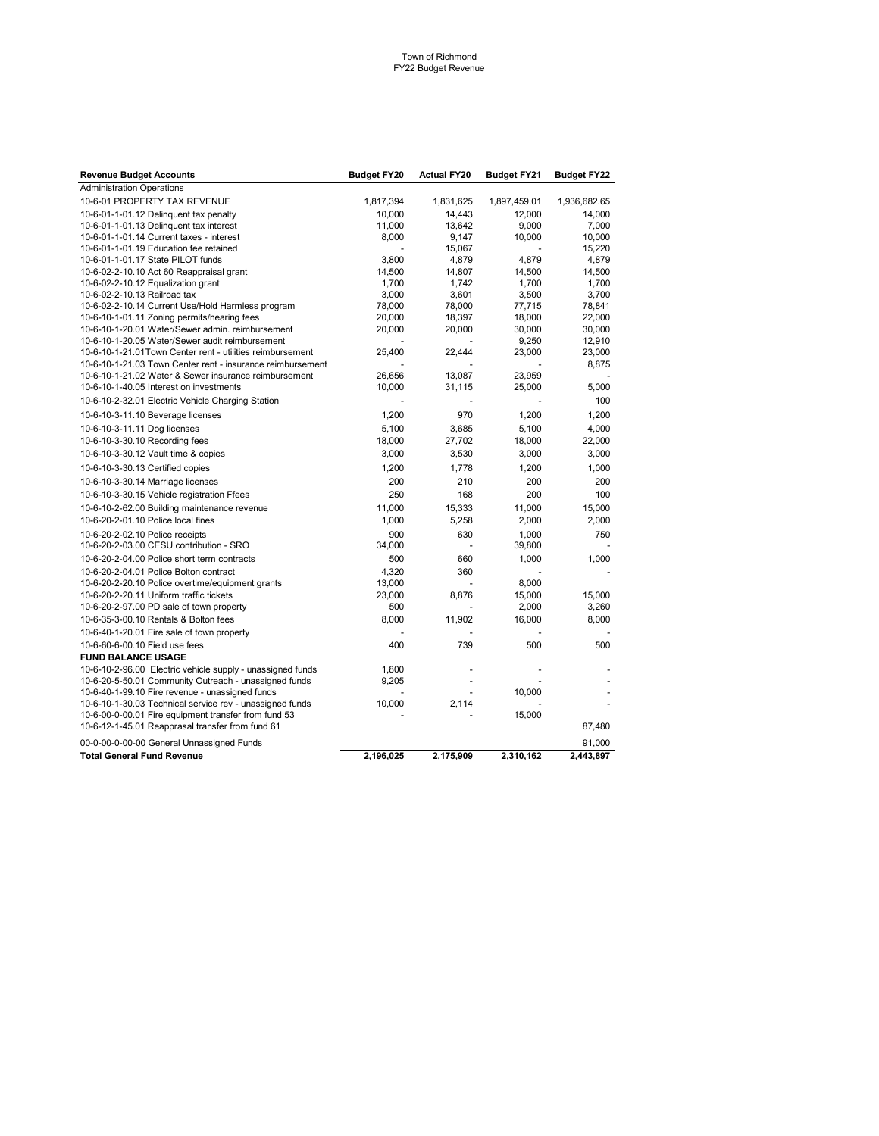| <b>Revenue Budget Accounts</b>                                                                      | <b>Budget FY20</b> | <b>Actual FY20</b> | <b>Budget FY21</b> | <b>Budget FY22</b> |
|-----------------------------------------------------------------------------------------------------|--------------------|--------------------|--------------------|--------------------|
| <b>Administration Operations</b>                                                                    |                    |                    |                    |                    |
| 10-6-01 PROPERTY TAX REVENUE                                                                        | 1,817,394          | 1,831,625          | 1,897,459.01       | 1,936,682.65       |
| 10-6-01-1-01.12 Delinguent tax penalty                                                              | 10,000             | 14,443             | 12,000             | 14,000             |
| 10-6-01-1-01.13 Delinquent tax interest                                                             | 11,000             | 13,642             | 9,000              | 7,000              |
| 10-6-01-1-01.14 Current taxes - interest                                                            | 8,000              | 9,147              | 10,000             | 10,000             |
| 10-6-01-1-01.19 Education fee retained                                                              |                    | 15,067             |                    | 15,220             |
| 10-6-01-1-01.17 State PILOT funds                                                                   | 3,800              | 4,879              | 4,879              | 4,879              |
| 10-6-02-2-10.10 Act 60 Reappraisal grant                                                            | 14,500             | 14,807             | 14,500             | 14,500             |
| 10-6-02-2-10.12 Equalization grant                                                                  | 1,700              | 1,742              | 1,700              | 1,700              |
| 10-6-02-2-10.13 Railroad tax                                                                        | 3,000              | 3,601              | 3,500              | 3,700              |
| 10-6-02-2-10.14 Current Use/Hold Harmless program                                                   | 78,000             | 78,000             | 77,715             | 78,841             |
| 10-6-10-1-01.11 Zoning permits/hearing fees                                                         | 20,000             | 18,397             | 18,000             | 22,000             |
| 10-6-10-1-20.01 Water/Sewer admin. reimbursement<br>10-6-10-1-20.05 Water/Sewer audit reimbursement | 20,000             | 20,000             | 30,000             | 30,000<br>12,910   |
| 10-6-10-1-21.01Town Center rent - utilities reimbursement                                           | 25,400             | 22,444             | 9,250<br>23,000    | 23,000             |
| 10-6-10-1-21.03 Town Center rent - insurance reimbursement                                          |                    |                    | $\blacksquare$     | 8,875              |
| 10-6-10-1-21.02 Water & Sewer insurance reimbursement                                               | 26,656             | 13,087             | 23,959             |                    |
| 10-6-10-1-40.05 Interest on investments                                                             | 10,000             | 31,115             | 25,000             | 5,000              |
| 10-6-10-2-32.01 Electric Vehicle Charging Station                                                   |                    |                    |                    | 100                |
| 10-6-10-3-11.10 Beverage licenses                                                                   | 1,200              | 970                | 1,200              | 1,200              |
| 10-6-10-3-11.11 Dog licenses                                                                        | 5,100              | 3,685              | 5,100              | 4,000              |
| 10-6-10-3-30.10 Recording fees                                                                      | 18,000             | 27,702             | 18,000             | 22,000             |
| 10-6-10-3-30.12 Vault time & copies                                                                 | 3,000              | 3,530              | 3,000              | 3,000              |
| 10-6-10-3-30.13 Certified copies                                                                    | 1,200              | 1,778              | 1,200              | 1,000              |
| 10-6-10-3-30.14 Marriage licenses                                                                   | 200                | 210                | 200                | 200                |
| 10-6-10-3-30.15 Vehicle registration Ffees                                                          | 250                | 168                | 200                | 100                |
| 10-6-10-2-62.00 Building maintenance revenue                                                        | 11,000             | 15,333             | 11,000             | 15,000             |
| 10-6-20-2-01.10 Police local fines                                                                  | 1,000              | 5,258              | 2,000              | 2,000              |
| 10-6-20-2-02.10 Police receipts                                                                     | 900                | 630                | 1,000              | 750                |
| 10-6-20-2-03.00 CESU contribution - SRO                                                             | 34,000             |                    | 39,800             |                    |
| 10-6-20-2-04.00 Police short term contracts                                                         | 500                | 660                | 1,000              | 1,000              |
| 10-6-20-2-04.01 Police Bolton contract                                                              | 4,320              | 360                |                    |                    |
| 10-6-20-2-20.10 Police overtime/equipment grants                                                    | 13,000             |                    | 8,000              |                    |
| 10-6-20-2-20.11 Uniform traffic tickets                                                             | 23,000             | 8,876              | 15,000             | 15,000             |
| 10-6-20-2-97.00 PD sale of town property                                                            | 500                |                    | 2,000              | 3,260              |
| 10-6-35-3-00.10 Rentals & Bolton fees                                                               | 8,000              | 11,902             | 16,000             | 8,000              |
| 10-6-40-1-20.01 Fire sale of town property                                                          |                    |                    |                    |                    |
| 10-6-60-6-00.10 Field use fees                                                                      | 400                | 739                | 500                | 500                |
| <b>FUND BALANCE USAGE</b>                                                                           |                    |                    |                    |                    |
| 10-6-10-2-96.00 Electric vehicle supply - unassigned funds                                          | 1,800              |                    |                    |                    |
| 10-6-20-5-50.01 Community Outreach - unassigned funds                                               | 9,205              |                    |                    |                    |
| 10-6-40-1-99.10 Fire revenue - unassigned funds                                                     |                    |                    | 10,000             |                    |
| 10-6-10-1-30.03 Technical service rev - unassigned funds                                            | 10,000             | 2,114              |                    |                    |
| 10-6-00-0-00.01 Fire equipment transfer from fund 53                                                |                    |                    | 15,000             |                    |
| 10-6-12-1-45.01 Reapprasal transfer from fund 61                                                    |                    |                    |                    | 87,480             |
| 00-0-00-0-00-00 General Unnassigned Funds                                                           |                    |                    |                    | 91,000             |
| <b>Total General Fund Revenue</b>                                                                   | 2,196,025          | 2,175,909          | 2,310,162          | 2,443,897          |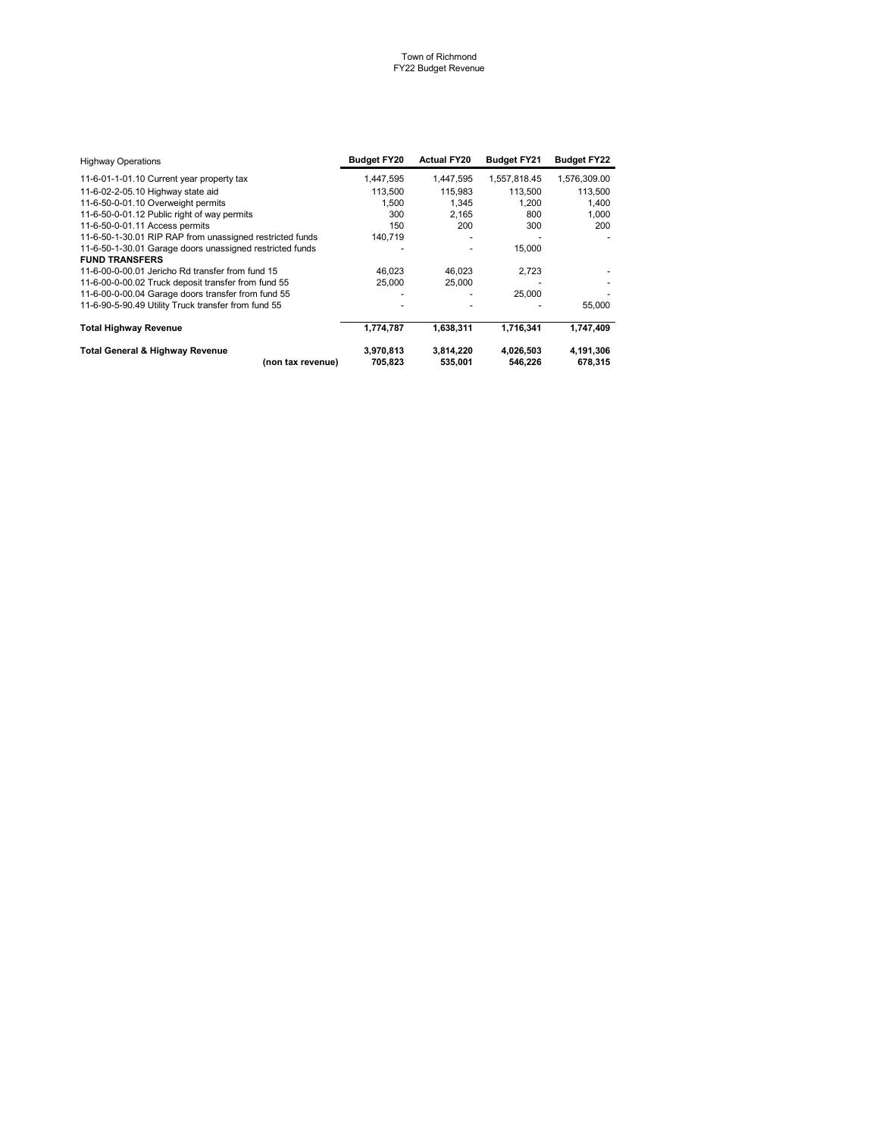| <b>Highway Operations</b>                                | <b>Budget FY20</b> | <b>Actual FY20</b> | <b>Budget FY21</b> | <b>Budget FY22</b> |
|----------------------------------------------------------|--------------------|--------------------|--------------------|--------------------|
| 11-6-01-1-01.10 Current year property tax                | 1,447,595          | 1,447,595          | 1,557,818.45       | 1,576,309.00       |
| 11-6-02-2-05.10 Highway state aid                        | 113.500            | 115.983            | 113.500            | 113,500            |
| 11-6-50-0-01.10 Overweight permits                       | 1.500              | 1.345              | 1.200              | 1,400              |
| 11-6-50-0-01.12 Public right of way permits              | 300                | 2.165              | 800                | 1.000              |
| 11-6-50-0-01.11 Access permits                           | 150                | 200                | 300                | 200                |
| 11-6-50-1-30.01 RIP RAP from unassigned restricted funds | 140,719            |                    |                    |                    |
| 11-6-50-1-30.01 Garage doors unassigned restricted funds |                    |                    | 15,000             |                    |
| <b>FUND TRANSFERS</b>                                    |                    |                    |                    |                    |
| 11-6-00-0-00.01 Jericho Rd transfer from fund 15         | 46.023             | 46,023             | 2,723              |                    |
| 11-6-00-0-00.02 Truck deposit transfer from fund 55      | 25,000             | 25,000             |                    |                    |
| 11-6-00-0-00.04 Garage doors transfer from fund 55       |                    |                    | 25,000             |                    |
| 11-6-90-5-90.49 Utility Truck transfer from fund 55      |                    |                    |                    | 55,000             |
| <b>Total Highway Revenue</b>                             | 1,774,787          | 1.638.311          | 1.716.341          | 1,747,409          |
| <b>Total General &amp; Highway Revenue</b>               | 3,970,813          | 3,814,220          | 4,026,503          | 4,191,306          |
| (non tax revenue)                                        | 705.823            | 535.001            | 546.226            | 678.315            |